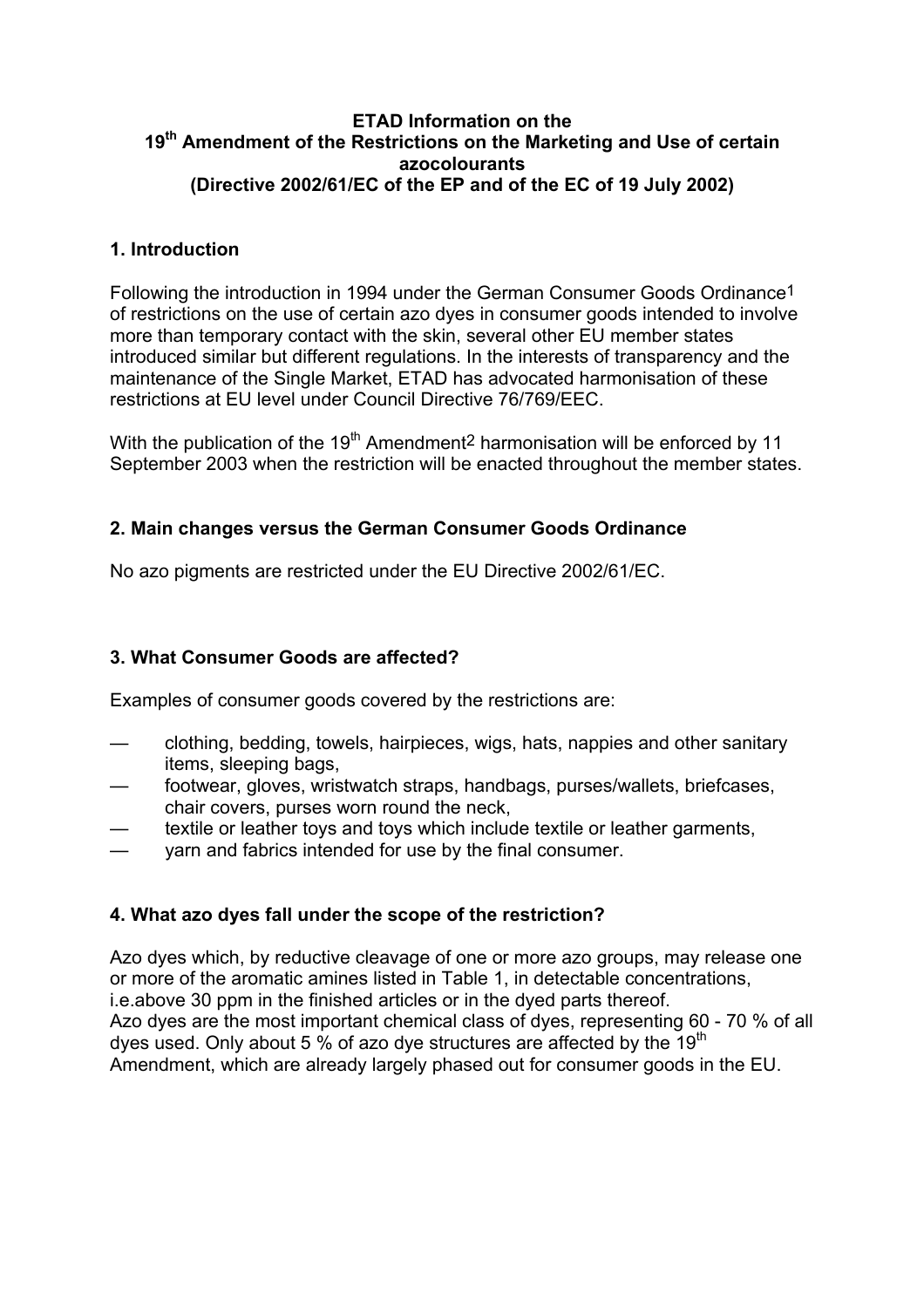#### **ETAD Information on the 19th Amendment of the Restrictions on the Marketing and Use of certain azocolourants (Directive 2002/61/EC of the EP and of the EC of 19 July 2002)**

## **1. Introduction**

Following the introduction in 1994 under the German Consumer Goods Ordinance1 of restrictions on the use of certain azo dyes in consumer goods intended to involve more than temporary contact with the skin, several other EU member states introduced similar but different regulations. In the interests of transparency and the maintenance of the Single Market, ETAD has advocated harmonisation of these restrictions at EU level under Council Directive 76/769/EEC.

With the publication of the 19<sup>th</sup> Amendment<sup>2</sup> harmonisation will be enforced by 11 September 2003 when the restriction will be enacted throughout the member states.

## **2. Main changes versus the German Consumer Goods Ordinance**

No azo pigments are restricted under the EU Directive 2002/61/EC.

#### **3. What Consumer Goods are affected?**

Examples of consumer goods covered by the restrictions are:

- clothing, bedding, towels, hairpieces, wigs, hats, nappies and other sanitary items, sleeping bags,
- footwear, gloves, wristwatch straps, handbags, purses/wallets, briefcases, chair covers, purses worn round the neck,
- textile or leather toys and toys which include textile or leather garments,
- yarn and fabrics intended for use by the final consumer.

#### **4. What azo dyes fall under the scope of the restriction?**

Azo dyes which, by reductive cleavage of one or more azo groups, may release one or more of the aromatic amines listed in Table 1, in detectable concentrations, i.e.above 30 ppm in the finished articles or in the dyed parts thereof. Azo dyes are the most important chemical class of dyes, representing 60 - 70 % of all dyes used. Only about 5 % of azo dye structures are affected by the 19<sup>th</sup> Amendment, which are already largely phased out for consumer goods in the EU.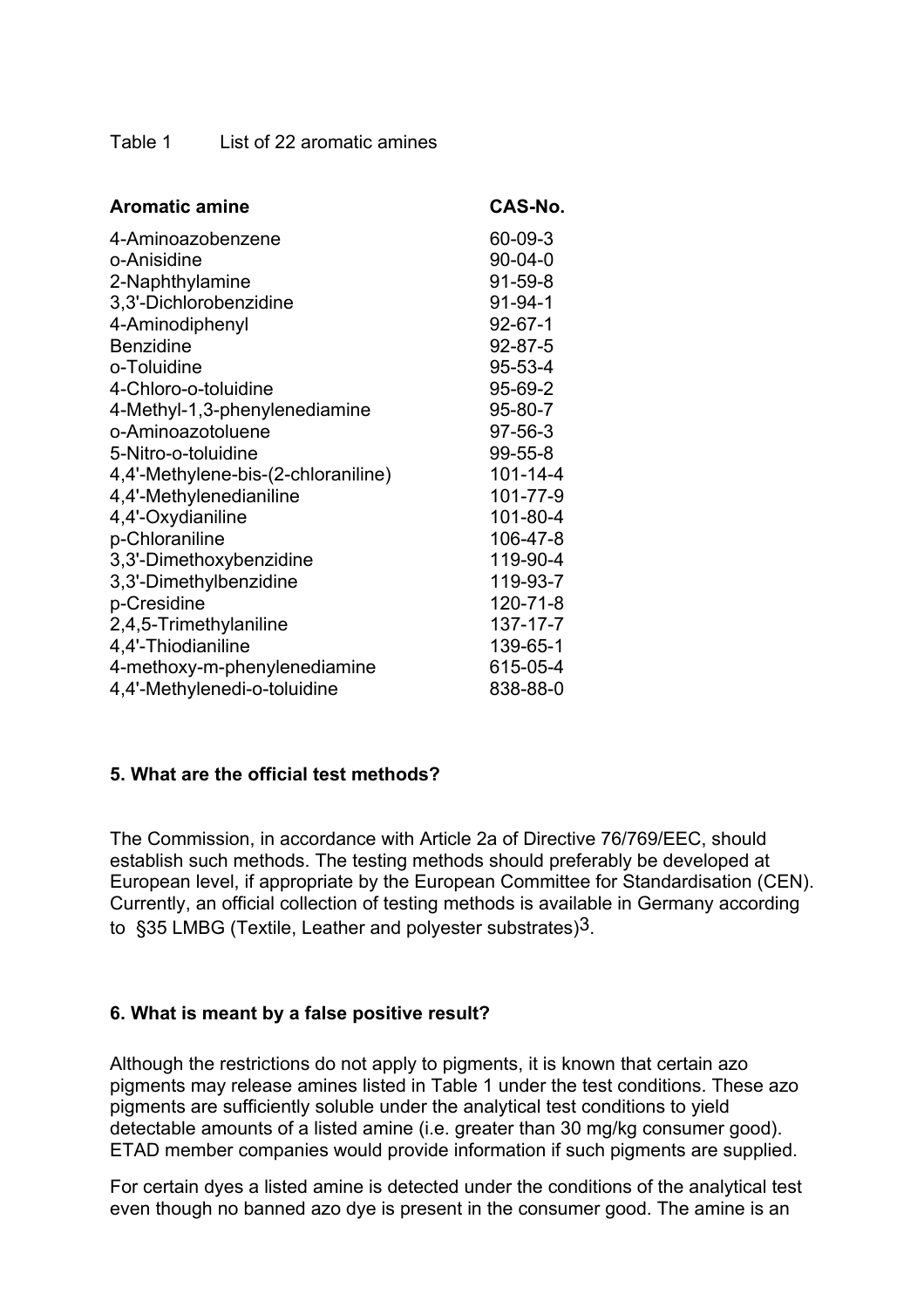Table 1 List of 22 aromatic amines

| <b>Aromatic amine</b>               | CAS-No.        |
|-------------------------------------|----------------|
| 4-Aminoazobenzene                   | 60-09-3        |
| o-Anisidine                         | $90 - 04 - 0$  |
| 2-Naphthylamine                     | $91 - 59 - 8$  |
| 3,3'-Dichlorobenzidine              | $91 - 94 - 1$  |
| 4-Aminodiphenyl                     | $92 - 67 - 1$  |
| <b>Benzidine</b>                    | $92 - 87 - 5$  |
| o-Toluidine                         | 95-53-4        |
| 4-Chloro-o-toluidine                | 95-69-2        |
| 4-Methyl-1,3-phenylenediamine       | 95-80-7        |
| o-Aminoazotoluene                   | 97-56-3        |
| 5-Nitro-o-toluidine                 | 99-55-8        |
| 4,4'-Methylene-bis-(2-chloraniline) | $101 - 14 - 4$ |
| 4,4'-Methylenedianiline             | 101-77-9       |
| 4,4'-Oxydianiline                   | 101-80-4       |
| p-Chloraniline                      | 106-47-8       |
| 3,3'-Dimethoxybenzidine             | 119-90-4       |
| 3,3'-Dimethylbenzidine              | 119-93-7       |
| p-Cresidine                         | $120 - 71 - 8$ |
| 2,4,5-Trimethylaniline              | 137-17-7       |
| 4,4'-Thiodianiline                  | 139-65-1       |
| 4-methoxy-m-phenylenediamine        | 615-05-4       |
| 4,4'-Methylenedi-o-toluidine        | 838-88-0       |

#### **5. What are the official test methods?**

The Commission, in accordance with Article 2a of Directive 76/769/EEC, should establish such methods. The testing methods should preferably be developed at European level, if appropriate by the European Committee for Standardisation (CEN). Currently, an official collection of testing methods is available in Germany according to §35 LMBG (Textile, Leather and polyester substrates)3.

#### **6. What is meant by a false positive result?**

Although the restrictions do not apply to pigments, it is known that certain azo pigments may release amines listed in Table 1 under the test conditions. These azo pigments are sufficiently soluble under the analytical test conditions to yield detectable amounts of a listed amine (i.e. greater than 30 mg/kg consumer good). ETAD member companies would provide information if such pigments are supplied.

For certain dyes a listed amine is detected under the conditions of the analytical test even though no banned azo dye is present in the consumer good. The amine is an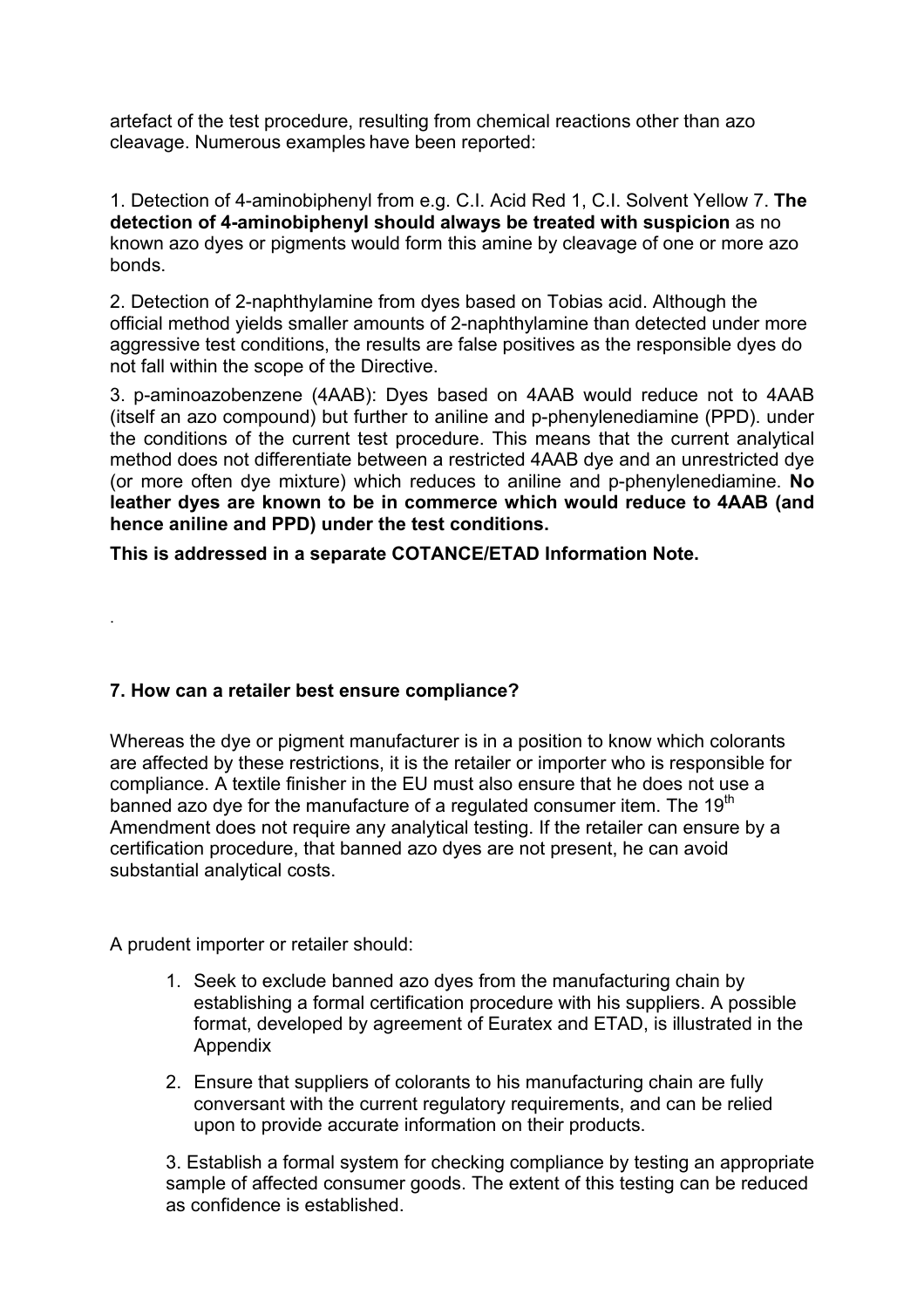artefact of the test procedure, resulting from chemical reactions other than azo cleavage. Numerous examples have been reported:

1. Detection of 4-aminobiphenyl from e.g. C.I. Acid Red 1, C.I. Solvent Yellow 7. **The detection of 4-aminobiphenyl should always be treated with suspicion** as no known azo dyes or pigments would form this amine by cleavage of one or more azo bonds.

2. Detection of 2-naphthylamine from dyes based on Tobias acid. Although the official method yields smaller amounts of 2-naphthylamine than detected under more aggressive test conditions, the results are false positives as the responsible dyes do not fall within the scope of the Directive.

3. p-aminoazobenzene (4AAB): Dyes based on 4AAB would reduce not to 4AAB (itself an azo compound) but further to aniline and p-phenylenediamine (PPD). under the conditions of the current test procedure. This means that the current analytical method does not differentiate between a restricted 4AAB dye and an unrestricted dye (or more often dye mixture) which reduces to aniline and p-phenylenediamine. **No leather dyes are known to be in commerce which would reduce to 4AAB (and hence aniline and PPD) under the test conditions.**

**This is addressed in a separate COTANCE/ETAD Information Note.** 

# **7. How can a retailer best ensure compliance?**

Whereas the dye or pigment manufacturer is in a position to know which colorants are affected by these restrictions, it is the retailer or importer who is responsible for compliance. A textile finisher in the EU must also ensure that he does not use a banned azo dye for the manufacture of a regulated consumer item. The 19<sup>th</sup> Amendment does not require any analytical testing. If the retailer can ensure by a certification procedure, that banned azo dyes are not present, he can avoid substantial analytical costs.

A prudent importer or retailer should:

.

- 1. Seek to exclude banned azo dyes from the manufacturing chain by establishing a formal certification procedure with his suppliers. A possible format, developed by agreement of Euratex and ETAD, is illustrated in the Appendix
- 2. Ensure that suppliers of colorants to his manufacturing chain are fully conversant with the current regulatory requirements, and can be relied upon to provide accurate information on their products.

3. Establish a formal system for checking compliance by testing an appropriate sample of affected consumer goods. The extent of this testing can be reduced as confidence is established.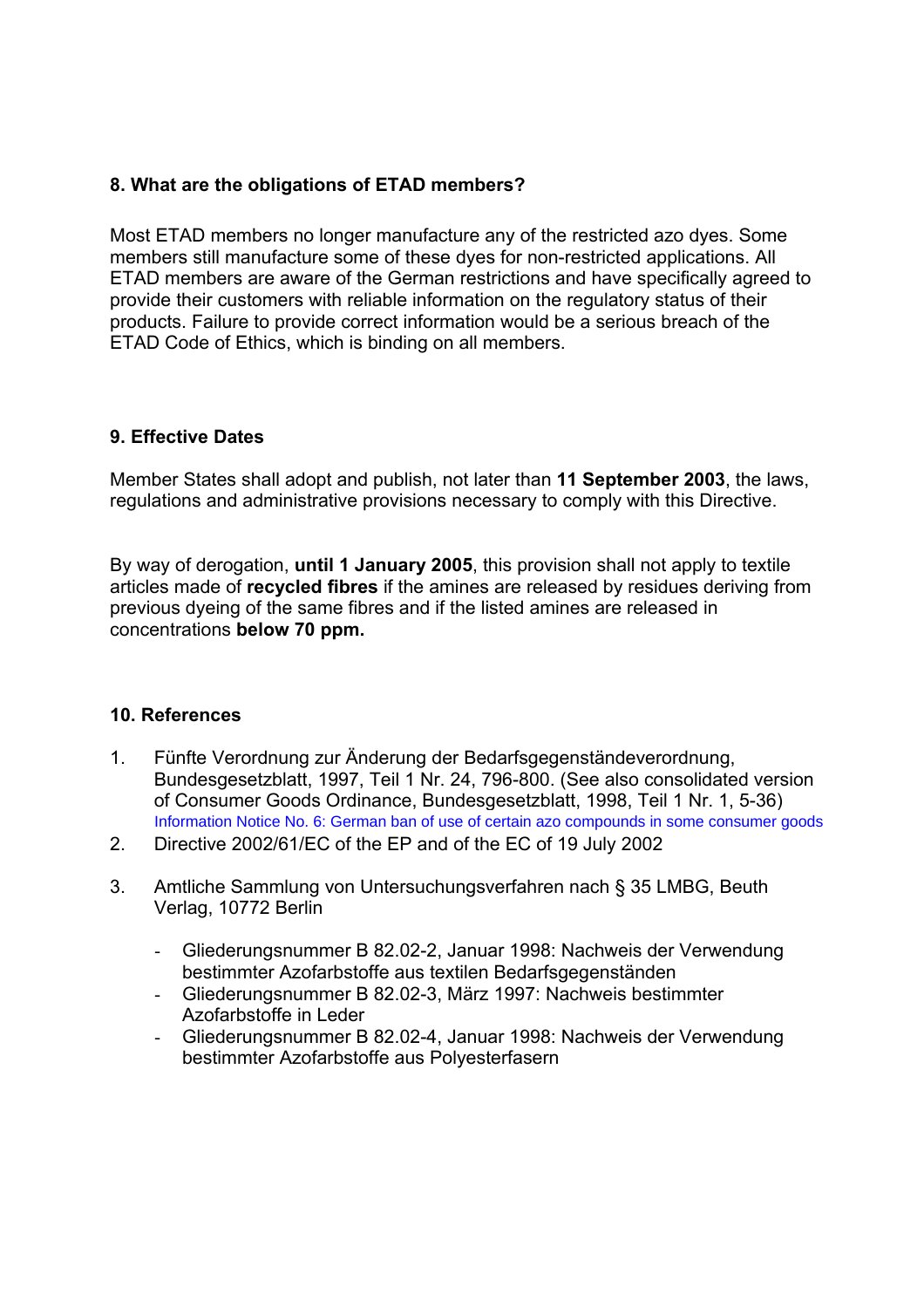## **8. What are the obligations of ETAD members?**

Most ETAD members no longer manufacture any of the restricted azo dyes. Some members still manufacture some of these dyes for non-restricted applications. All ETAD members are aware of the German restrictions and have specifically agreed to provide their customers with reliable information on the regulatory status of their products. Failure to provide correct information would be a serious breach of the ETAD Code of Ethics, which is binding on all members.

## **9. Effective Dates**

Member States shall adopt and publish, not later than **11 September 2003**, the laws, regulations and administrative provisions necessary to comply with this Directive.

By way of derogation, **until 1 January 2005**, this provision shall not apply to textile articles made of **recycled fibres** if the amines are released by residues deriving from previous dyeing of the same fibres and if the listed amines are released in concentrations **below 70 ppm.** 

#### **10. References**

- 1. Fünfte Verordnung zur Änderung der Bedarfsgegenständeverordnung, Bundesgesetzblatt, 1997, Teil 1 Nr. 24, 796-800. (See also consolidated version of Consumer Goods Ordinance, Bundesgesetzblatt, 1998, Teil 1 Nr. 1, 5-36) [Information Notice No. 6: German ban of use of certain azo compounds in some consumer goods](http://www.etad.com/information/information_6.html)
- 2. Directive 2002/61/EC of the EP and of the EC of 19 July 2002
- 3. Amtliche Sammlung von Untersuchungsverfahren nach § 35 LMBG, Beuth Verlag, 10772 Berlin
	- Gliederungsnummer B 82.02-2, Januar 1998: Nachweis der Verwendung bestimmter Azofarbstoffe aus textilen Bedarfsgegenständen
	- Gliederungsnummer B 82.02-3, März 1997: Nachweis bestimmter Azofarbstoffe in Leder
	- Gliederungsnummer B 82.02-4, Januar 1998: Nachweis der Verwendung bestimmter Azofarbstoffe aus Polyesterfasern